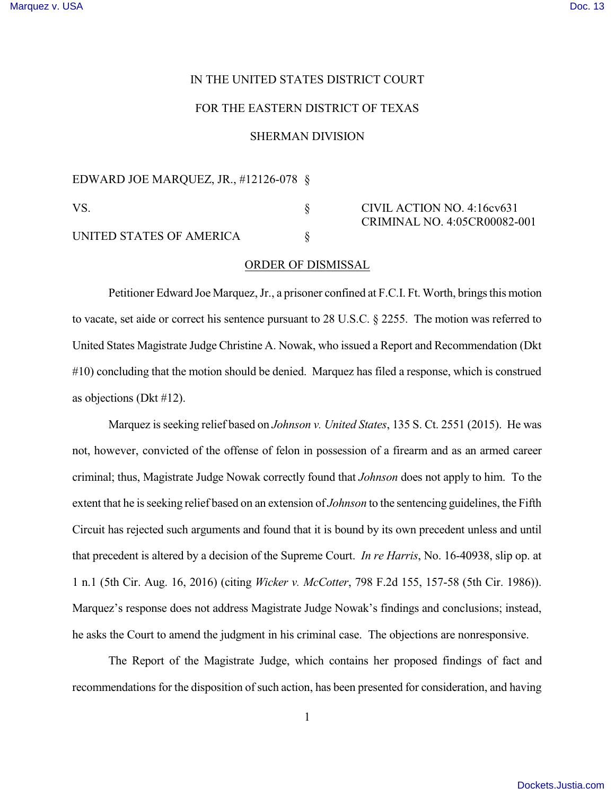## IN THE UNITED STATES DISTRICT COURT

## FOR THE EASTERN DISTRICT OF TEXAS

## SHERMAN DIVISION

EDWARD JOE MARQUEZ, JR., #12126-078 §

VS. S CIVIL ACTION NO. 4:16cv631 CRIMINAL NO. 4:05CR00082-001

UNITED STATES OF AMERICA  $\S$ 

## ORDER OF DISMISSAL

Petitioner Edward Joe Marquez, Jr., a prisoner confined at F.C.I. Ft. Worth, brings this motion to vacate, set aide or correct his sentence pursuant to 28 U.S.C. § 2255. The motion was referred to United States Magistrate Judge Christine A. Nowak, who issued a Report and Recommendation (Dkt #10) concluding that the motion should be denied. Marquez has filed a response, which is construed as objections (Dkt #12).

Marquez is seeking relief based on *Johnson v. United States*, 135 S. Ct. 2551 (2015). He was not, however, convicted of the offense of felon in possession of a firearm and as an armed career criminal; thus, Magistrate Judge Nowak correctly found that *Johnson* does not apply to him. To the extent that he isseeking relief based on an extension of *Johnson* to the sentencing guidelines, the Fifth Circuit has rejected such arguments and found that it is bound by its own precedent unless and until that precedent is altered by a decision of the Supreme Court. *In re Harris*, No. 16-40938, slip op. at 1 n.1 (5th Cir. Aug. 16, 2016) (citing *Wicker v. McCotter*, 798 F.2d 155, 157-58 (5th Cir. 1986)). Marquez's response does not address Magistrate Judge Nowak's findings and conclusions; instead, he asks the Court to amend the judgment in his criminal case. The objections are nonresponsive.

The Report of the Magistrate Judge, which contains her proposed findings of fact and recommendations for the disposition of such action, has been presented for consideration, and having